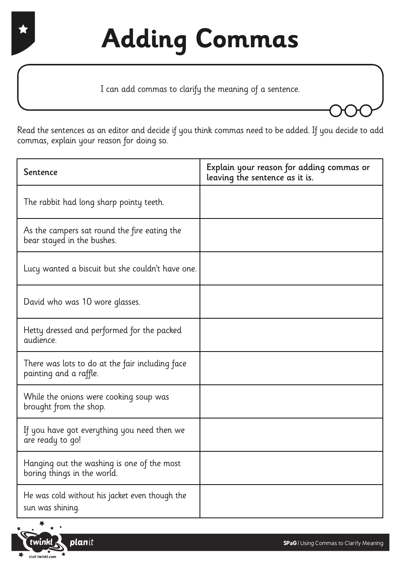I can add commas to clarify the meaning of a sentence.

Read the sentences as an editor and decide if you think commas need to be added. If you decide to add commas, explain your reason for doing so.

| Sentence                                                                   | Explain your reason for adding commas or<br>leaving the sentence as it is. |
|----------------------------------------------------------------------------|----------------------------------------------------------------------------|
| The rabbit had long sharp pointy teeth.                                    |                                                                            |
| As the campers sat round the fire eating the<br>bear stayed in the bushes. |                                                                            |
| Lucy wanted a biscuit but she couldn't have one.                           |                                                                            |
| David who was 10 wore glasses.                                             |                                                                            |
| Hetty dressed and performed for the packed<br>audience.                    |                                                                            |
| There was lots to do at the fair including face<br>painting and a raffle.  |                                                                            |
| While the onions were cooking soup was<br>brought from the shop.           |                                                                            |
| If you have got everything you need then we<br>are ready to go!            |                                                                            |
| Hanging out the washing is one of the most<br>boring things in the world.  |                                                                            |
| He was cold without his jacket even though the<br>sun was shining.         |                                                                            |

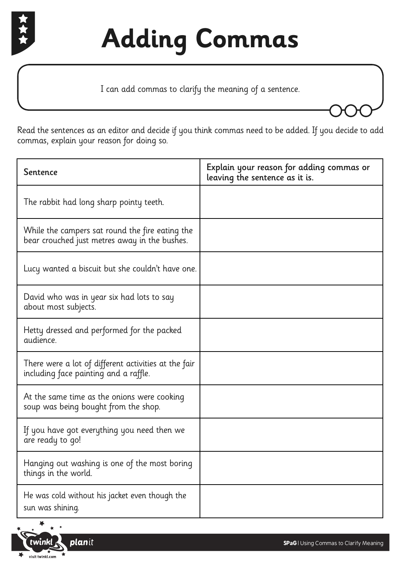

I can add commas to clarify the meaning of a sentence.

Read the sentences as an editor and decide if you think commas need to be added. If you decide to add commas, explain your reason for doing so.

| Sentence                                                                                         | Explain your reason for adding commas or<br>leaving the sentence as it is. |
|--------------------------------------------------------------------------------------------------|----------------------------------------------------------------------------|
| The rabbit had long sharp pointy teeth.                                                          |                                                                            |
| While the campers sat round the fire eating the<br>bear crouched just metres away in the bushes. |                                                                            |
| Lucy wanted a biscuit but she couldn't have one.                                                 |                                                                            |
| David who was in year six had lots to say<br>about most subjects.                                |                                                                            |
| Hetty dressed and performed for the packed<br>audience.                                          |                                                                            |
| There were a lot of different activities at the fair<br>including face painting and a raffle.    |                                                                            |
| At the same time as the onions were cooking<br>soup was being bought from the shop.              |                                                                            |
| If you have got everything you need then we<br>are ready to go!                                  |                                                                            |
| Hanging out washing is one of the most boring<br>things in the world.                            |                                                                            |
| He was cold without his jacket even though the<br>sun was shining.                               |                                                                            |

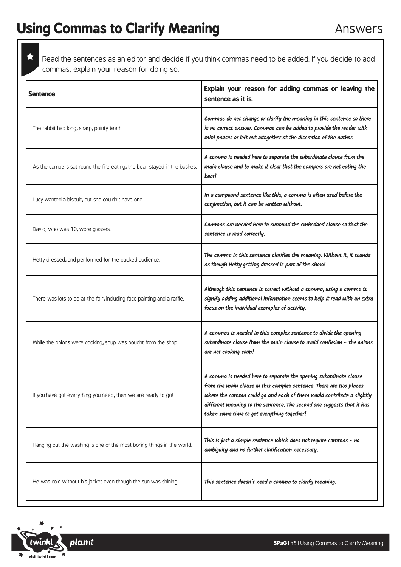Read the sentences as an editor and decide if you think commas need to be added. If you decide to add commas, explain your reason for doing so.

| <b>Sentence</b>                                                          | Explain your reason for adding commas or leaving the<br>sentence as it is.                                                                                                                                                                                                                                                                 |
|--------------------------------------------------------------------------|--------------------------------------------------------------------------------------------------------------------------------------------------------------------------------------------------------------------------------------------------------------------------------------------------------------------------------------------|
| The rabbit had long, sharp, pointy teeth.                                | Commas do not change or clarify the meaning in this sentence so there<br>is no correct answer. Commas can be added to provide the reader with<br>mini pauses or left out altogether at the discretion of the author.                                                                                                                       |
| As the campers sat round the fire eating, the bear stayed in the bushes. | A comma is needed here to separate the subordinate clause from the<br>main clause and to make it clear that the campers are not eating the<br>bear!                                                                                                                                                                                        |
| Lucy wanted a biscuit, but she couldn't have one.                        | In a compound sentence like this, a comma is often used before the<br>conjunction, but it can be written without.                                                                                                                                                                                                                          |
| David, who was 10, wore glasses.                                         | Commas are needed here to surround the embedded clause so that the<br>sentence is read correctly.                                                                                                                                                                                                                                          |
| Hetty dressed, and performed for the packed audience.                    | The comma in this sentence clarifies the meaning. Without it, it sounds<br>as though Hetty getting dressed is part of the show!                                                                                                                                                                                                            |
| There was lots to do at the fair, including face painting and a raffle.  | Although this sentence is correct without a comma, using a comma to<br>signify adding additional information seems to help it read with an extra<br>focus on the individual examples of activity.                                                                                                                                          |
| While the onions were cooking, soup was bought from the shop.            | A commas is needed in this complex sentence to divide the opening<br>subordinate clause from the main clause to avoid confusion $-$ the onions<br>are not cooking soup!                                                                                                                                                                    |
| If you have got everything you need, then we are ready to go!            | A comma is needed here to separate the opening subordinate clause<br>from the main clause in this complex sentence. There are two places<br>where the comma could go and each of them would contribute a slightly<br>different meaning to the sentence. The second one suggests that it has<br>taken some time to get everything together! |
| Hanging out the washing is one of the most boring things in the world.   | This is just a simple sentence which does not require commas - no<br>ambiguity and no further clarification necessary.                                                                                                                                                                                                                     |
| He was cold without his jacket even though the sun was shining.          | This sentence doesn't need a comma to clarify meaning.                                                                                                                                                                                                                                                                                     |